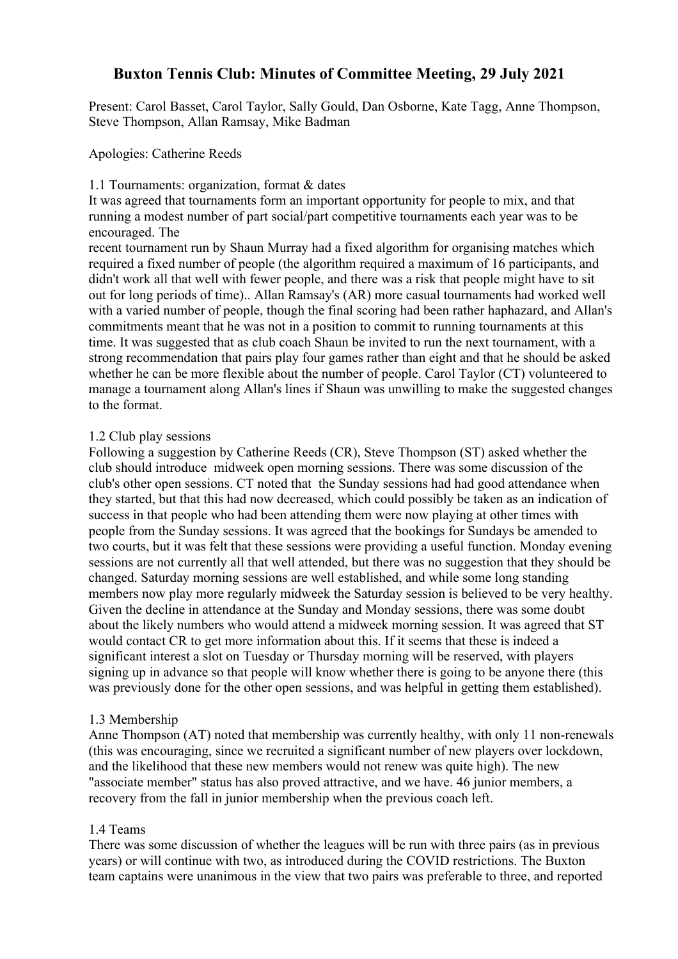# **Buxton Tennis Club: Minutes of Committee Meeting, 29 July 2021**

Present: Carol Basset, Carol Taylor, Sally Gould, Dan Osborne, Kate Tagg, Anne Thompson, Steve Thompson, Allan Ramsay, Mike Badman

### Apologies: Catherine Reeds

#### 1.1 Tournaments: organization, format & dates

It was agreed that tournaments form an important opportunity for people to mix, and that running a modest number of part social/part competitive tournaments each year was to be encouraged. The

recent tournament run by Shaun Murray had a fixed algorithm for organising matches which required a fixed number of people (the algorithm required a maximum of 16 participants, and didn't work all that well with fewer people, and there was a risk that people might have to sit out for long periods of time).. Allan Ramsay's (AR) more casual tournaments had worked well with a varied number of people, though the final scoring had been rather haphazard, and Allan's commitments meant that he was not in a position to commit to running tournaments at this time. It was suggested that as club coach Shaun be invited to run the next tournament, with a strong recommendation that pairs play four games rather than eight and that he should be asked whether he can be more flexible about the number of people. Carol Taylor (CT) volunteered to manage a tournament along Allan's lines if Shaun was unwilling to make the suggested changes to the format.

#### 1.2 Club play sessions

Following a suggestion by Catherine Reeds (CR), Steve Thompson (ST) asked whether the club should introduce midweek open morning sessions. There was some discussion of the club's other open sessions. CT noted that the Sunday sessions had had good attendance when they started, but that this had now decreased, which could possibly be taken as an indication of success in that people who had been attending them were now playing at other times with people from the Sunday sessions. It was agreed that the bookings for Sundays be amended to two courts, but it was felt that these sessions were providing a useful function. Monday evening sessions are not currently all that well attended, but there was no suggestion that they should be changed. Saturday morning sessions are well established, and while some long standing members now play more regularly midweek the Saturday session is believed to be very healthy. Given the decline in attendance at the Sunday and Monday sessions, there was some doubt about the likely numbers who would attend a midweek morning session. It was agreed that ST would contact CR to get more information about this. If it seems that these is indeed a significant interest a slot on Tuesday or Thursday morning will be reserved, with players signing up in advance so that people will know whether there is going to be anyone there (this was previously done for the other open sessions, and was helpful in getting them established).

### 1.3 Membership

Anne Thompson (AT) noted that membership was currently healthy, with only 11 non-renewals (this was encouraging, since we recruited a significant number of new players over lockdown, and the likelihood that these new members would not renew was quite high). The new "associate member" status has also proved attractive, and we have. 46 junior members, a recovery from the fall in junior membership when the previous coach left.

#### 1.4 Teams

There was some discussion of whether the leagues will be run with three pairs (as in previous years) or will continue with two, as introduced during the COVID restrictions. The Buxton team captains were unanimous in the view that two pairs was preferable to three, and reported